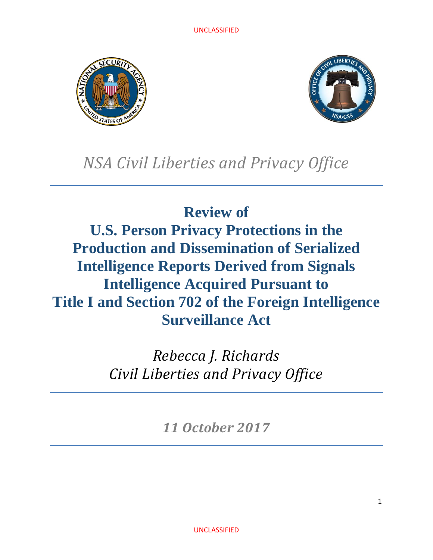



# *NSA Civil Liberties and Privacy Office*

# **Review of U.S. Person Privacy Protections in the Production and Dissemination of Serialized Intelligence Reports Derived from Signals Intelligence Acquired Pursuant to Title I and Section 702 of the Foreign Intelligence Surveillance Act**

*Rebecca J. Richards Civil Liberties and Privacy Office*

*11 October 2017*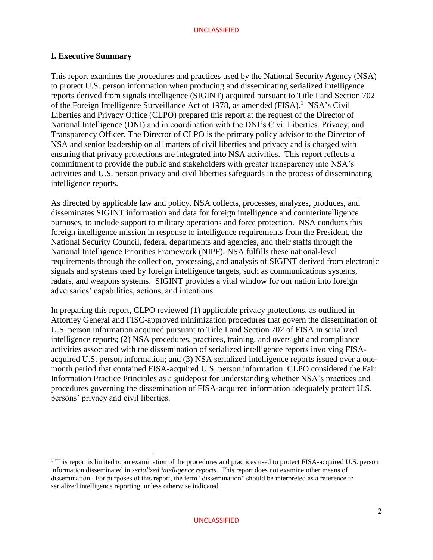#### **I. Executive Summary**

 $\overline{a}$ 

This report examines the procedures and practices used by the National Security Agency (NSA) to protect U.S. person information when producing and disseminating serialized intelligence reports derived from signals intelligence (SIGINT) acquired pursuant to Title I and Section 702 of the Foreign Intelligence Surveillance Act of 1978, as amended (FISA).<sup>1</sup> NSA's Civil Liberties and Privacy Office (CLPO) prepared this report at the request of the Director of National Intelligence (DNI) and in coordination with the DNI's Civil Liberties, Privacy, and Transparency Officer. The Director of CLPO is the primary policy advisor to the Director of NSA and senior leadership on all matters of civil liberties and privacy and is charged with ensuring that privacy protections are integrated into NSA activities. This report reflects a commitment to provide the public and stakeholders with greater transparency into NSA's activities and U.S. person privacy and civil liberties safeguards in the process of disseminating intelligence reports.

As directed by applicable law and policy, NSA collects, processes, analyzes, produces, and disseminates SIGINT information and data for foreign intelligence and counterintelligence purposes, to include support to military operations and force protection. NSA conducts this foreign intelligence mission in response to intelligence requirements from the President, the National Security Council, federal departments and agencies, and their staffs through the National Intelligence Priorities Framework (NIPF). NSA fulfills these national-level requirements through the collection, processing, and analysis of SIGINT derived from electronic signals and systems used by foreign intelligence targets, such as communications systems, radars, and weapons systems. SIGINT provides a vital window for our nation into foreign adversaries' capabilities, actions, and intentions.

In preparing this report, CLPO reviewed (1) applicable privacy protections, as outlined in Attorney General and FISC-approved minimization procedures that govern the dissemination of U.S. person information acquired pursuant to Title I and Section 702 of FISA in serialized intelligence reports; (2) NSA procedures, practices, training, and oversight and compliance activities associated with the dissemination of serialized intelligence reports involving FISAacquired U.S. person information; and (3) NSA serialized intelligence reports issued over a onemonth period that contained FISA-acquired U.S. person information. CLPO considered the Fair Information Practice Principles as a guidepost for understanding whether NSA's practices and procedures governing the dissemination of FISA-acquired information adequately protect U.S. persons' privacy and civil liberties.

<sup>&</sup>lt;sup>1</sup> This report is limited to an examination of the procedures and practices used to protect FISA-acquired U.S. person information disseminated in *serialized intelligence reports*. This report does not examine other means of dissemination. For purposes of this report, the term "dissemination" should be interpreted as a reference to serialized intelligence reporting, unless otherwise indicated.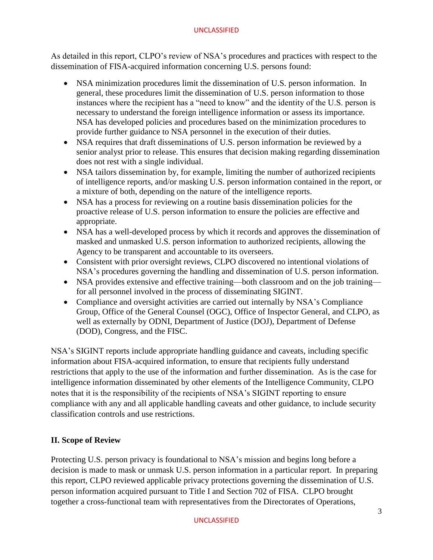As detailed in this report, CLPO's review of NSA's procedures and practices with respect to the dissemination of FISA-acquired information concerning U.S. persons found:

- NSA minimization procedures limit the dissemination of U.S. person information. In general, these procedures limit the dissemination of U.S. person information to those instances where the recipient has a "need to know" and the identity of the U.S. person is necessary to understand the foreign intelligence information or assess its importance. NSA has developed policies and procedures based on the minimization procedures to provide further guidance to NSA personnel in the execution of their duties.
- NSA requires that draft disseminations of U.S. person information be reviewed by a senior analyst prior to release. This ensures that decision making regarding dissemination does not rest with a single individual.
- NSA tailors dissemination by, for example, limiting the number of authorized recipients of intelligence reports, and/or masking U.S. person information contained in the report, or a mixture of both, depending on the nature of the intelligence reports.
- NSA has a process for reviewing on a routine basis dissemination policies for the proactive release of U.S. person information to ensure the policies are effective and appropriate.
- NSA has a well-developed process by which it records and approves the dissemination of masked and unmasked U.S. person information to authorized recipients, allowing the Agency to be transparent and accountable to its overseers.
- Consistent with prior oversight reviews, CLPO discovered no intentional violations of NSA's procedures governing the handling and dissemination of U.S. person information.
- NSA provides extensive and effective training—both classroom and on the job training for all personnel involved in the process of disseminating SIGINT.
- Compliance and oversight activities are carried out internally by NSA's Compliance Group, Office of the General Counsel (OGC), Office of Inspector General, and CLPO, as well as externally by ODNI, Department of Justice (DOJ), Department of Defense (DOD), Congress, and the FISC.

NSA's SIGINT reports include appropriate handling guidance and caveats, including specific information about FISA-acquired information, to ensure that recipients fully understand restrictions that apply to the use of the information and further dissemination. As is the case for intelligence information disseminated by other elements of the Intelligence Community, CLPO notes that it is the responsibility of the recipients of NSA's SIGINT reporting to ensure compliance with any and all applicable handling caveats and other guidance, to include security classification controls and use restrictions.

# **II. Scope of Review**

Protecting U.S. person privacy is foundational to NSA's mission and begins long before a decision is made to mask or unmask U.S. person information in a particular report. In preparing this report, CLPO reviewed applicable privacy protections governing the dissemination of U.S. person information acquired pursuant to Title I and Section 702 of FISA. CLPO brought together a cross-functional team with representatives from the Directorates of Operations,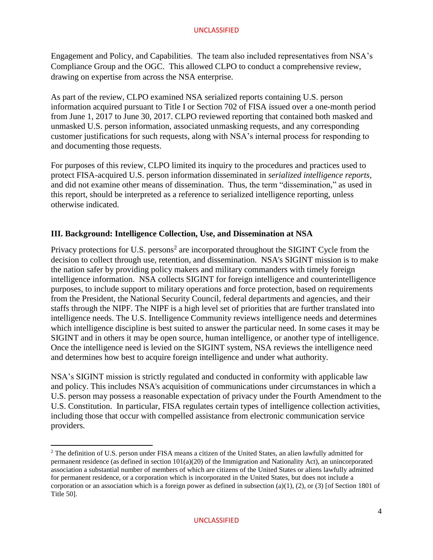Engagement and Policy, and Capabilities. The team also included representatives from NSA's Compliance Group and the OGC. This allowed CLPO to conduct a comprehensive review, drawing on expertise from across the NSA enterprise.

As part of the review, CLPO examined NSA serialized reports containing U.S. person information acquired pursuant to Title I or Section 702 of FISA issued over a one-month period from June 1, 2017 to June 30, 2017. CLPO reviewed reporting that contained both masked and unmasked U.S. person information, associated unmasking requests, and any corresponding customer justifications for such requests, along with NSA's internal process for responding to and documenting those requests.

For purposes of this review, CLPO limited its inquiry to the procedures and practices used to protect FISA-acquired U.S. person information disseminated in *serialized intelligence reports*, and did not examine other means of dissemination. Thus, the term "dissemination," as used in this report, should be interpreted as a reference to serialized intelligence reporting, unless otherwise indicated.

## **III. Background: Intelligence Collection, Use, and Dissemination at NSA**

Privacy protections for U.S. persons<sup>2</sup> are incorporated throughout the SIGINT Cycle from the decision to collect through use, retention, and dissemination. NSA's SIGINT mission is to make the nation safer by providing policy makers and military commanders with timely foreign intelligence information. NSA collects SIGINT for foreign intelligence and counterintelligence purposes, to include support to military operations and force protection, based on requirements from the President, the National Security Council, federal departments and agencies, and their staffs through the NIPF. The NIPF is a high level set of priorities that are further translated into intelligence needs. The U.S. Intelligence Community reviews intelligence needs and determines which intelligence discipline is best suited to answer the particular need. In some cases it may be SIGINT and in others it may be open source, human intelligence, or another type of intelligence. Once the intelligence need is levied on the SIGINT system, NSA reviews the intelligence need and determines how best to acquire foreign intelligence and under what authority.

NSA's SIGINT mission is strictly regulated and conducted in conformity with applicable law and policy. This includes NSA's acquisition of communications under circumstances in which a U.S. person may possess a reasonable expectation of privacy under the Fourth Amendment to the U.S. Constitution. In particular, FISA regulates certain types of intelligence collection activities, including those that occur with compelled assistance from electronic communication service providers.

l

<sup>2</sup> The definition of U.S. person under FISA means a citizen of the United States, an alien lawfully admitted for permanent residence (as defined in section 101(a)(20) of the Immigration and Nationality Act), an unincorporated association a substantial number of members of which are citizens of the United States or aliens lawfully admitted for permanent residence, or a corporation which is incorporated in the United States, but does not include a corporation or an association which is a foreign power as defined in subsection (a)(1), (2), or (3) [of Section 1801 of Title 50].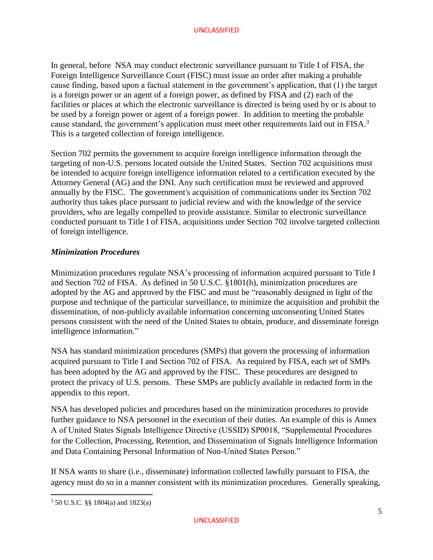In general, before NSA may conduct electronic surveillance pursuant to Title I of FISA, the Foreign Intelligence Surveillance Court (FISC) must issue an order after making a probable cause finding, based upon a factual statement in the government's application, that (1) the target is a foreign power or an agent of a foreign power, as defined by FISA and (2) each of the facilities or places at which the electronic surveillance is directed is being used by or is about to be used by a foreign power or agent of a foreign power. In addition to meeting the probable cause standard, the government's application must meet other requirements laid out in FISA.<sup>3</sup> This is a targeted collection of foreign intelligence.

Section 702 permits the government to acquire foreign intelligence information through the targeting of non-U.S. persons located outside the United States. Section 702 acquisitions must be intended to acquire foreign intelligence information related to a certification executed by the Attorney General (AG) and the DNI. Any such certification must be reviewed and approved annually by the FISC. The government's acquisition of communications under its Section 702 authority thus takes place pursuant to judicial review and with the knowledge of the service providers, who are legally compelled to provide assistance. Similar to electronic surveillance conducted pursuant to Title I of FISA, acquisitions under Section 702 involve targeted collection of foreign intelligence.

## *Minimization Procedures*

Minimization procedures regulate NSA's processing of information acquired pursuant to Title I and Section 702 of FISA. As defined in 50 U.S.C. §1801(h), minimization procedures are adopted by the AG and approved by the FISC and must be "reasonably designed in light of the purpose and technique of the particular surveillance, to minimize the acquisition and prohibit the dissemination, of non-publicly available information concerning unconsenting United States persons consistent with the need of the United States to obtain, produce, and disseminate foreign intelligence information."

NSA has standard minimization procedures (SMPs) that govern the processing of information acquired pursuant to Title I and Section 702 of FISA. As required by FISA, each set of SMPs has been adopted by the AG and approved by the FISC. These procedures are designed to protect the privacy of U.S. persons. These SMPs are publicly available in redacted form in the appendix to this report.

NSA has developed policies and procedures based on the minimization procedures to provide further guidance to NSA personnel in the execution of their duties. An example of this is Annex A of United States Signals Intelligence Directive (USSID) SP0018, "Supplemental Procedures for the Collection, Processing, Retention, and Dissemination of Signals Intelligence Information and Data Containing Personal Information of Non-United States Person."

If NSA wants to share (i.e., disseminate) information collected lawfully pursuant to FISA, the agency must do so in a manner consistent with its minimization procedures. Generally speaking,

l

<sup>3</sup> 50 U.S.C. §§ 1804(a) and 1823(a)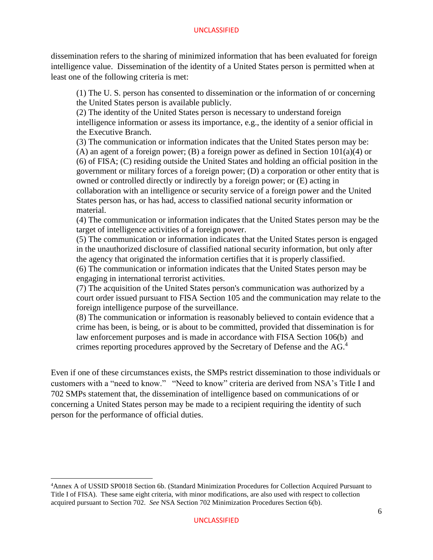dissemination refers to the sharing of minimized information that has been evaluated for foreign intelligence value. Dissemination of the identity of a United States person is permitted when at least one of the following criteria is met:

(1) The U. S. person has consented to dissemination or the information of or concerning the United States person is available publicly.

(2) The identity of the United States person is necessary to understand foreign intelligence information or assess its importance, e.g., the identity of a senior official in the Executive Branch.

(3) The communication or information indicates that the United States person may be: (A) an agent of a foreign power; (B) a foreign power as defined in Section  $101(a)(4)$  or (6) of FISA; (C) residing outside the United States and holding an official position in the government or military forces of a foreign power; (D) a corporation or other entity that is owned or controlled directly or indirectly by a foreign power; or (E) acting in collaboration with an intelligence or security service of a foreign power and the United States person has, or has had, access to classified national security information or material.

(4) The communication or information indicates that the United States person may be the target of intelligence activities of a foreign power.

(5) The communication or information indicates that the United States person is engaged in the unauthorized disclosure of classified national security information, but only after the agency that originated the information certifies that it is properly classified.

(6) The communication or information indicates that the United States person may be engaging in international terrorist activities.

(7) The acquisition of the United States person's communication was authorized by a court order issued pursuant to FISA Section 105 and the communication may relate to the foreign intelligence purpose of the surveillance.

(8) The communication or information is reasonably believed to contain evidence that a crime has been, is being, or is about to be committed, provided that dissemination is for law enforcement purposes and is made in accordance with FISA Section 106(b) and crimes reporting procedures approved by the Secretary of Defense and the AG. 4

Even if one of these circumstances exists, the SMPs restrict dissemination to those individuals or customers with a "need to know." "Need to know" criteria are derived from NSA's Title I and 702 SMPs statement that, the dissemination of intelligence based on communications of or concerning a United States person may be made to a recipient requiring the identity of such person for the performance of official duties.

 $\overline{\phantom{a}}$ 

<sup>4</sup>Annex A of USSID SP0018 Section 6b. (Standard Minimization Procedures for Collection Acquired Pursuant to Title I of FISA). These same eight criteria, with minor modifications, are also used with respect to collection acquired pursuant to Section 702. *See* NSA Section 702 Minimization Procedures Section 6(b).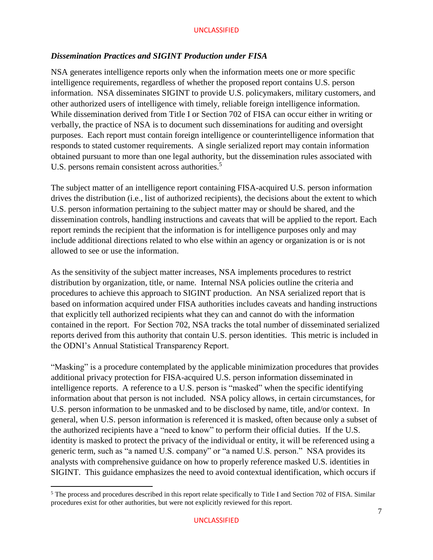## *Dissemination Practices and SIGINT Production under FISA*

NSA generates intelligence reports only when the information meets one or more specific intelligence requirements, regardless of whether the proposed report contains U.S. person information. NSA disseminates SIGINT to provide U.S. policymakers, military customers, and other authorized users of intelligence with timely, reliable foreign intelligence information. While dissemination derived from Title I or Section 702 of FISA can occur either in writing or verbally, the practice of NSA is to document such disseminations for auditing and oversight purposes. Each report must contain foreign intelligence or counterintelligence information that responds to stated customer requirements. A single serialized report may contain information obtained pursuant to more than one legal authority, but the dissemination rules associated with U.S. persons remain consistent across authorities.<sup>5</sup>

The subject matter of an intelligence report containing FISA-acquired U.S. person information drives the distribution (i.e., list of authorized recipients), the decisions about the extent to which U.S. person information pertaining to the subject matter may or should be shared, and the dissemination controls, handling instructions and caveats that will be applied to the report. Each report reminds the recipient that the information is for intelligence purposes only and may include additional directions related to who else within an agency or organization is or is not allowed to see or use the information.

As the sensitivity of the subject matter increases, NSA implements procedures to restrict distribution by organization, title, or name. Internal NSA policies outline the criteria and procedures to achieve this approach to SIGINT production. An NSA serialized report that is based on information acquired under FISA authorities includes caveats and handing instructions that explicitly tell authorized recipients what they can and cannot do with the information contained in the report. For Section 702, NSA tracks the total number of disseminated serialized reports derived from this authority that contain U.S. person identities. This metric is included in the ODNI's Annual Statistical Transparency Report.

"Masking" is a procedure contemplated by the applicable minimization procedures that provides additional privacy protection for FISA-acquired U.S. person information disseminated in intelligence reports. A reference to a U.S. person is "masked" when the specific identifying information about that person is not included. NSA policy allows, in certain circumstances, for U.S. person information to be unmasked and to be disclosed by name, title, and/or context. In general, when U.S. person information is referenced it is masked, often because only a subset of the authorized recipients have a "need to know" to perform their official duties. If the U.S. identity is masked to protect the privacy of the individual or entity, it will be referenced using a generic term, such as "a named U.S. company" or "a named U.S. person." NSA provides its analysts with comprehensive guidance on how to properly reference masked U.S. identities in SIGINT. This guidance emphasizes the need to avoid contextual identification, which occurs if

 $\overline{\phantom{a}}$ 

<sup>&</sup>lt;sup>5</sup> The process and procedures described in this report relate specifically to Title I and Section 702 of FISA. Similar procedures exist for other authorities, but were not explicitly reviewed for this report.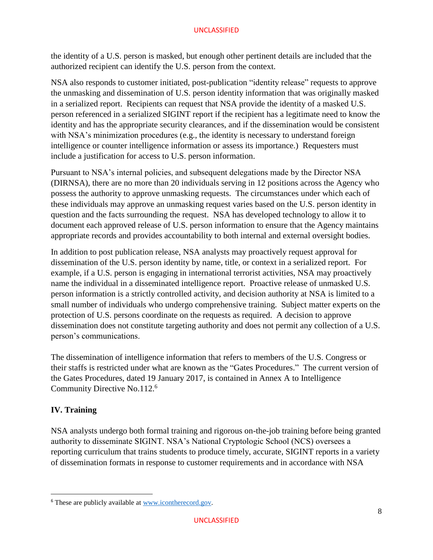the identity of a U.S. person is masked, but enough other pertinent details are included that the authorized recipient can identify the U.S. person from the context.

NSA also responds to customer initiated, post-publication "identity release" requests to approve the unmasking and dissemination of U.S. person identity information that was originally masked in a serialized report. Recipients can request that NSA provide the identity of a masked U.S. person referenced in a serialized SIGINT report if the recipient has a legitimate need to know the identity and has the appropriate security clearances, and if the dissemination would be consistent with NSA's minimization procedures (e.g., the identity is necessary to understand foreign intelligence or counter intelligence information or assess its importance.) Requesters must include a justification for access to U.S. person information.

Pursuant to NSA's internal policies, and subsequent delegations made by the Director NSA (DIRNSA), there are no more than 20 individuals serving in 12 positions across the Agency who possess the authority to approve unmasking requests. The circumstances under which each of these individuals may approve an unmasking request varies based on the U.S. person identity in question and the facts surrounding the request. NSA has developed technology to allow it to document each approved release of U.S. person information to ensure that the Agency maintains appropriate records and provides accountability to both internal and external oversight bodies.

In addition to post publication release, NSA analysts may proactively request approval for dissemination of the U.S. person identity by name, title, or context in a serialized report. For example, if a U.S. person is engaging in international terrorist activities, NSA may proactively name the individual in a disseminated intelligence report. Proactive release of unmasked U.S. person information is a strictly controlled activity, and decision authority at NSA is limited to a small number of individuals who undergo comprehensive training. Subject matter experts on the protection of U.S. persons coordinate on the requests as required. A decision to approve dissemination does not constitute targeting authority and does not permit any collection of a U.S. person's communications.

The dissemination of intelligence information that refers to members of the U.S. Congress or their staffs is restricted under what are known as the "Gates Procedures." The current version of the Gates Procedures, dated 19 January 2017, is contained in Annex A to Intelligence Community Directive No.112.<sup>6</sup>

# **IV. Training**

l

NSA analysts undergo both formal training and rigorous on-the-job training before being granted authority to disseminate SIGINT. NSA's National Cryptologic School (NCS) oversees a reporting curriculum that trains students to produce timely, accurate, SIGINT reports in a variety of dissemination formats in response to customer requirements and in accordance with NSA

<sup>6</sup> These are publicly available at [www.icontherecord.gov.](http://www.icontherecord.gov/)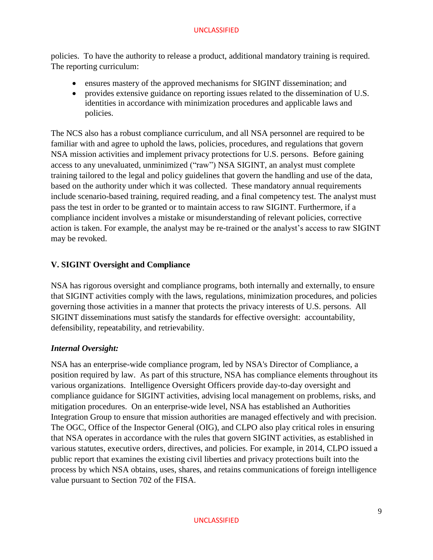policies. To have the authority to release a product, additional mandatory training is required. The reporting curriculum:

- ensures mastery of the approved mechanisms for SIGINT dissemination; and
- provides extensive guidance on reporting issues related to the dissemination of U.S. identities in accordance with minimization procedures and applicable laws and policies.

The NCS also has a robust compliance curriculum, and all NSA personnel are required to be familiar with and agree to uphold the laws, policies, procedures, and regulations that govern NSA mission activities and implement privacy protections for U.S. persons. Before gaining access to any unevaluated, unminimized ("raw") NSA SIGINT, an analyst must complete training tailored to the legal and policy guidelines that govern the handling and use of the data, based on the authority under which it was collected. These mandatory annual requirements include scenario-based training, required reading, and a final competency test. The analyst must pass the test in order to be granted or to maintain access to raw SIGINT. Furthermore, if a compliance incident involves a mistake or misunderstanding of relevant policies, corrective action is taken. For example, the analyst may be re-trained or the analyst's access to raw SIGINT may be revoked.

# **V. SIGINT Oversight and Compliance**

NSA has rigorous oversight and compliance programs, both internally and externally, to ensure that SIGINT activities comply with the laws, regulations, minimization procedures, and policies governing those activities in a manner that protects the privacy interests of U.S. persons. All SIGINT disseminations must satisfy the standards for effective oversight: accountability, defensibility, repeatability, and retrievability.

## *Internal Oversight:*

NSA has an enterprise-wide compliance program, led by NSA's Director of Compliance, a position required by law. As part of this structure, NSA has compliance elements throughout its various organizations. Intelligence Oversight Officers provide day-to-day oversight and compliance guidance for SIGINT activities, advising local management on problems, risks, and mitigation procedures. On an enterprise-wide level, NSA has established an Authorities Integration Group to ensure that mission authorities are managed effectively and with precision. The OGC, Office of the Inspector General (OIG), and CLPO also play critical roles in ensuring that NSA operates in accordance with the rules that govern SIGINT activities, as established in various statutes, executive orders, directives, and policies. For example, in 2014, CLPO issued a public report that examines the existing civil liberties and privacy protections built into the process by which NSA obtains, uses, shares, and retains communications of foreign intelligence value pursuant to Section 702 of the FISA.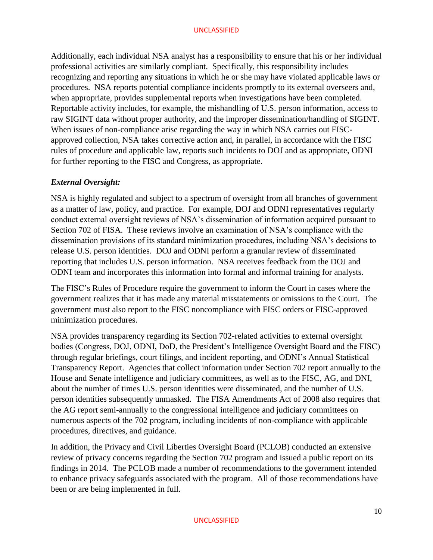Additionally, each individual NSA analyst has a responsibility to ensure that his or her individual professional activities are similarly compliant. Specifically, this responsibility includes recognizing and reporting any situations in which he or she may have violated applicable laws or procedures. NSA reports potential compliance incidents promptly to its external overseers and, when appropriate, provides supplemental reports when investigations have been completed. Reportable activity includes, for example, the mishandling of U.S. person information, access to raw SIGINT data without proper authority, and the improper dissemination/handling of SIGINT. When issues of non-compliance arise regarding the way in which NSA carries out FISCapproved collection, NSA takes corrective action and, in parallel, in accordance with the FISC rules of procedure and applicable law, reports such incidents to DOJ and as appropriate, ODNI for further reporting to the FISC and Congress, as appropriate.

# *External Oversight:*

NSA is highly regulated and subject to a spectrum of oversight from all branches of government as a matter of law, policy, and practice. For example, DOJ and ODNI representatives regularly conduct external oversight reviews of NSA's dissemination of information acquired pursuant to Section 702 of FISA. These reviews involve an examination of NSA's compliance with the dissemination provisions of its standard minimization procedures, including NSA's decisions to release U.S. person identities. DOJ and ODNI perform a granular review of disseminated reporting that includes U.S. person information. NSA receives feedback from the DOJ and ODNI team and incorporates this information into formal and informal training for analysts.

The FISC's Rules of Procedure require the government to inform the Court in cases where the government realizes that it has made any material misstatements or omissions to the Court. The government must also report to the FISC noncompliance with FISC orders or FISC-approved minimization procedures.

NSA provides transparency regarding its Section 702-related activities to external oversight bodies (Congress, DOJ, ODNI, DoD, the President's Intelligence Oversight Board and the FISC) through regular briefings, court filings, and incident reporting, and ODNI's Annual Statistical Transparency Report. Agencies that collect information under Section 702 report annually to the House and Senate intelligence and judiciary committees, as well as to the FISC, AG, and DNI, about the number of times U.S. person identities were disseminated, and the number of U.S. person identities subsequently unmasked. The FISA Amendments Act of 2008 also requires that the AG report semi-annually to the congressional intelligence and judiciary committees on numerous aspects of the 702 program, including incidents of non-compliance with applicable procedures, directives, and guidance.

In addition, the Privacy and Civil Liberties Oversight Board (PCLOB) conducted an extensive review of privacy concerns regarding the Section 702 program and issued a public report on its findings in 2014. The PCLOB made a number of recommendations to the government intended to enhance privacy safeguards associated with the program. All of those recommendations have been or are being implemented in full.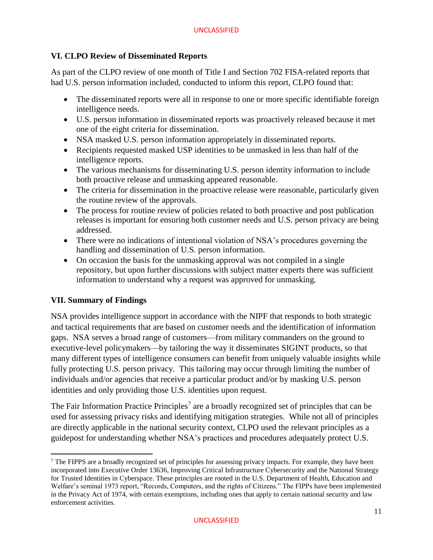# **VI. CLPO Review of Disseminated Reports**

As part of the CLPO review of one month of Title I and Section 702 FISA-related reports that had U.S. person information included, conducted to inform this report, CLPO found that:

- The disseminated reports were all in response to one or more specific identifiable foreign intelligence needs.
- U.S. person information in disseminated reports was proactively released because it met one of the eight criteria for dissemination.
- NSA masked U.S. person information appropriately in disseminated reports.
- Recipients requested masked USP identities to be unmasked in less than half of the intelligence reports.
- The various mechanisms for disseminating U.S. person identity information to include both proactive release and unmasking appeared reasonable.
- The criteria for dissemination in the proactive release were reasonable, particularly given the routine review of the approvals.
- The process for routine review of policies related to both proactive and post publication releases is important for ensuring both customer needs and U.S. person privacy are being addressed.
- There were no indications of intentional violation of NSA's procedures governing the handling and dissemination of U.S. person information.
- On occasion the basis for the unmasking approval was not compiled in a single repository, but upon further discussions with subject matter experts there was sufficient information to understand why a request was approved for unmasking.

# **VII. Summary of Findings**

 $\overline{a}$ 

NSA provides intelligence support in accordance with the NIPF that responds to both strategic and tactical requirements that are based on customer needs and the identification of information gaps. NSA serves a broad range of customers—from military commanders on the ground to executive-level policymakers—by tailoring the way it disseminates SIGINT products, so that many different types of intelligence consumers can benefit from uniquely valuable insights while fully protecting U.S. person privacy. This tailoring may occur through limiting the number of individuals and/or agencies that receive a particular product and/or by masking U.S. person identities and only providing those U.S. identities upon request.

The Fair Information Practice Principles<sup>7</sup> are a broadly recognized set of principles that can be used for assessing privacy risks and identifying mitigation strategies. While not all of principles are directly applicable in the national security context, CLPO used the relevant principles as a guidepost for understanding whether NSA's practices and procedures adequately protect U.S.

 $<sup>7</sup>$  The FIPPS are a broadly recognized set of principles for assessing privacy impacts. For example, they have been</sup> incorporated into Executive Order 13636, Improving Critical Infrastructure Cybersecurity and the National Strategy for Trusted Identities in Cyberspace. These principles are rooted in the U.S. Department of Health, Education and Welfare's seminal 1973 report, "Records, Computers, and the rights of Citizens." The FIPPs have been implemented in the Privacy Act of 1974, with certain exemptions, including ones that apply to certain national security and law enforcement activities.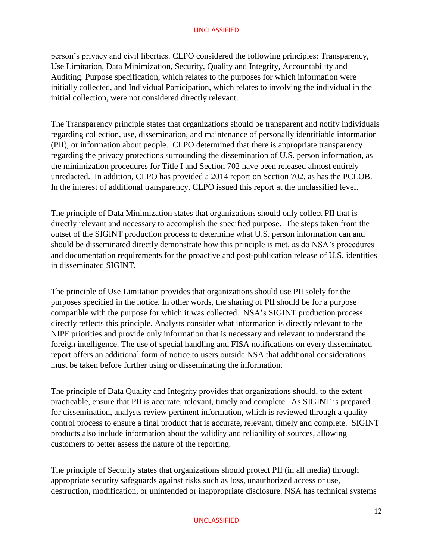person's privacy and civil liberties. CLPO considered the following principles: Transparency, Use Limitation, Data Minimization, Security, Quality and Integrity, Accountability and Auditing. Purpose specification, which relates to the purposes for which information were initially collected, and Individual Participation, which relates to involving the individual in the initial collection, were not considered directly relevant.

The Transparency principle states that organizations should be transparent and notify individuals regarding collection, use, dissemination, and maintenance of personally identifiable information (PII), or information about people. CLPO determined that there is appropriate transparency regarding the privacy protections surrounding the dissemination of U.S. person information, as the minimization procedures for Title I and Section 702 have been released almost entirely unredacted. In addition, CLPO has provided a 2014 report on Section 702, as has the PCLOB. In the interest of additional transparency, CLPO issued this report at the unclassified level.

The principle of Data Minimization states that organizations should only collect PII that is directly relevant and necessary to accomplish the specified purpose. The steps taken from the outset of the SIGINT production process to determine what U.S. person information can and should be disseminated directly demonstrate how this principle is met, as do NSA's procedures and documentation requirements for the proactive and post-publication release of U.S. identities in disseminated SIGINT.

The principle of Use Limitation provides that organizations should use PII solely for the purposes specified in the notice. In other words, the sharing of PII should be for a purpose compatible with the purpose for which it was collected. NSA's SIGINT production process directly reflects this principle. Analysts consider what information is directly relevant to the NIPF priorities and provide only information that is necessary and relevant to understand the foreign intelligence. The use of special handling and FISA notifications on every disseminated report offers an additional form of notice to users outside NSA that additional considerations must be taken before further using or disseminating the information.

The principle of Data Quality and Integrity provides that organizations should, to the extent practicable, ensure that PII is accurate, relevant, timely and complete. As SIGINT is prepared for dissemination, analysts review pertinent information, which is reviewed through a quality control process to ensure a final product that is accurate, relevant, timely and complete. SIGINT products also include information about the validity and reliability of sources, allowing customers to better assess the nature of the reporting.

The principle of Security states that organizations should protect PII (in all media) through appropriate security safeguards against risks such as loss, unauthorized access or use, destruction, modification, or unintended or inappropriate disclosure. NSA has technical systems

#### UNCLASSIFIED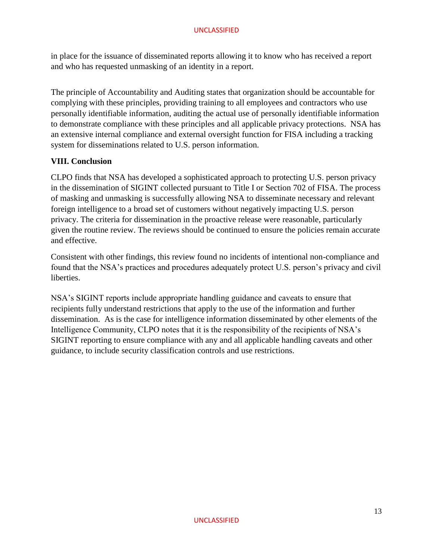in place for the issuance of disseminated reports allowing it to know who has received a report and who has requested unmasking of an identity in a report.

The principle of Accountability and Auditing states that organization should be accountable for complying with these principles, providing training to all employees and contractors who use personally identifiable information, auditing the actual use of personally identifiable information to demonstrate compliance with these principles and all applicable privacy protections. NSA has an extensive internal compliance and external oversight function for FISA including a tracking system for disseminations related to U.S. person information.

# **VIII. Conclusion**

CLPO finds that NSA has developed a sophisticated approach to protecting U.S. person privacy in the dissemination of SIGINT collected pursuant to Title I or Section 702 of FISA. The process of masking and unmasking is successfully allowing NSA to disseminate necessary and relevant foreign intelligence to a broad set of customers without negatively impacting U.S. person privacy. The criteria for dissemination in the proactive release were reasonable, particularly given the routine review. The reviews should be continued to ensure the policies remain accurate and effective.

Consistent with other findings, this review found no incidents of intentional non-compliance and found that the NSA's practices and procedures adequately protect U.S. person's privacy and civil liberties.

NSA's SIGINT reports include appropriate handling guidance and caveats to ensure that recipients fully understand restrictions that apply to the use of the information and further dissemination. As is the case for intelligence information disseminated by other elements of the Intelligence Community, CLPO notes that it is the responsibility of the recipients of NSA's SIGINT reporting to ensure compliance with any and all applicable handling caveats and other guidance, to include security classification controls and use restrictions.